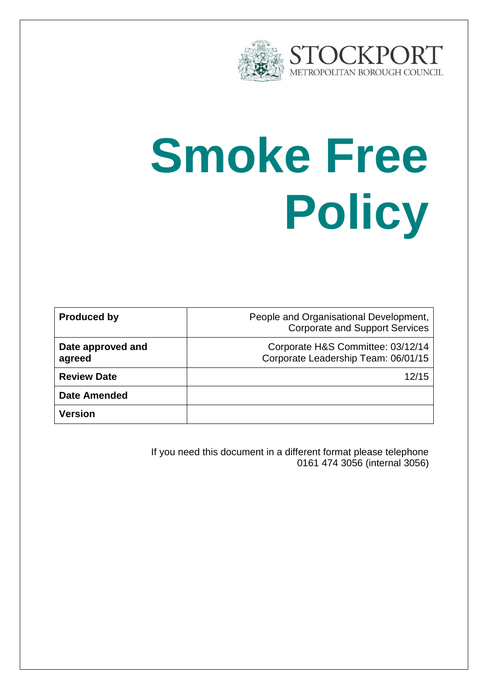

# **Smoke Free Policy**

| <b>Produced by</b>          | People and Organisational Development,<br><b>Corporate and Support Services</b> |
|-----------------------------|---------------------------------------------------------------------------------|
| Date approved and<br>agreed | Corporate H&S Committee: 03/12/14<br>Corporate Leadership Team: 06/01/15        |
| <b>Review Date</b>          | 12/15                                                                           |
| <b>Date Amended</b>         |                                                                                 |
| <b>Version</b>              |                                                                                 |

If you need this document in a different format please telephone 0161 474 3056 (internal 3056)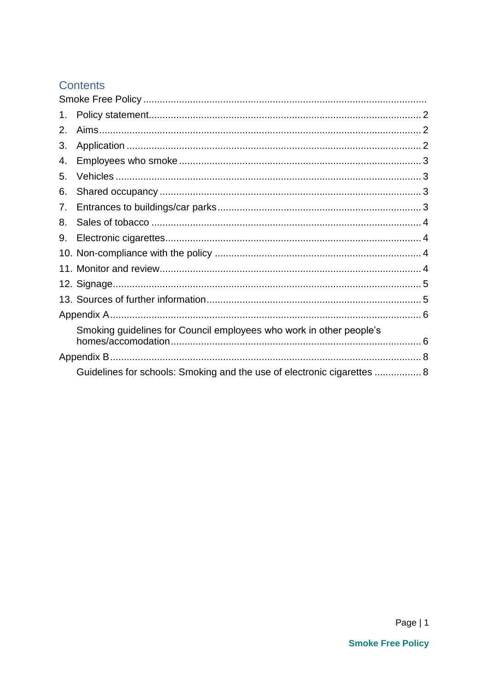#### Contents

| 1. |                                                                         |  |
|----|-------------------------------------------------------------------------|--|
| 2. |                                                                         |  |
| 3. |                                                                         |  |
| 4. |                                                                         |  |
| 5. |                                                                         |  |
| 6. |                                                                         |  |
| 7. |                                                                         |  |
| 8. |                                                                         |  |
| 9. |                                                                         |  |
|    |                                                                         |  |
|    |                                                                         |  |
|    |                                                                         |  |
|    |                                                                         |  |
|    |                                                                         |  |
|    | Smoking guidelines for Council employees who work in other people's     |  |
|    |                                                                         |  |
|    | Guidelines for schools: Smoking and the use of electronic cigarettes  8 |  |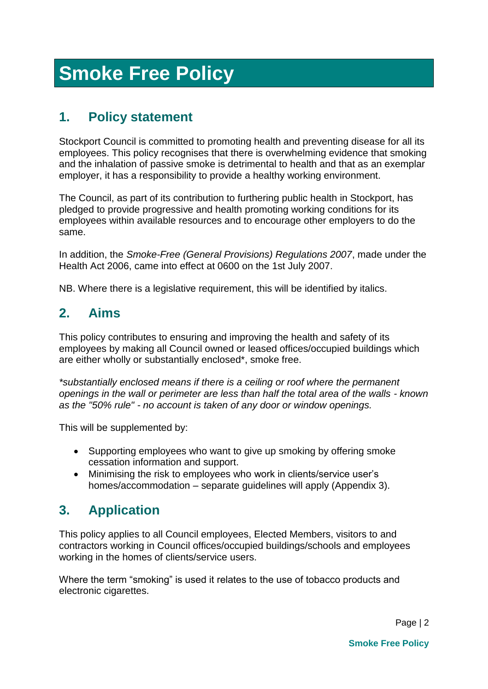# **Smoke Free Policy**

# <span id="page-2-0"></span>**1. Policy statement**

Stockport Council is committed to promoting health and preventing disease for all its employees. This policy recognises that there is overwhelming evidence that smoking and the inhalation of passive smoke is detrimental to health and that as an exemplar employer, it has a responsibility to provide a healthy working environment.

The Council, as part of its contribution to furthering public health in Stockport, has pledged to provide progressive and health promoting working conditions for its employees within available resources and to encourage other employers to do the same.

In addition, the *Smoke-Free (General Provisions) Regulations 2007*, made under the Health Act 2006, came into effect at 0600 on the 1st July 2007.

NB. Where there is a legislative requirement, this will be identified by italics.

# <span id="page-2-1"></span>**2. Aims**

This policy contributes to ensuring and improving the health and safety of its employees by making all Council owned or leased offices/occupied buildings which are either wholly or substantially enclosed\*, smoke free.

*\*substantially enclosed means if there is a ceiling or roof where the permanent openings in the wall or perimeter are less than half the total area of the walls - known as the "50% rule" - no account is taken of any door or window openings.*

This will be supplemented by:

- Supporting employees who want to give up smoking by offering smoke cessation information and support.
- Minimising the risk to employees who work in clients/service user's homes/accommodation – separate guidelines will apply (Appendix 3).

# <span id="page-2-2"></span>**3. Application**

This policy applies to all Council employees, Elected Members, visitors to and contractors working in Council offices/occupied buildings/schools and employees working in the homes of clients/service users.

Where the term "smoking" is used it relates to the use of tobacco products and electronic cigarettes.

Page | 2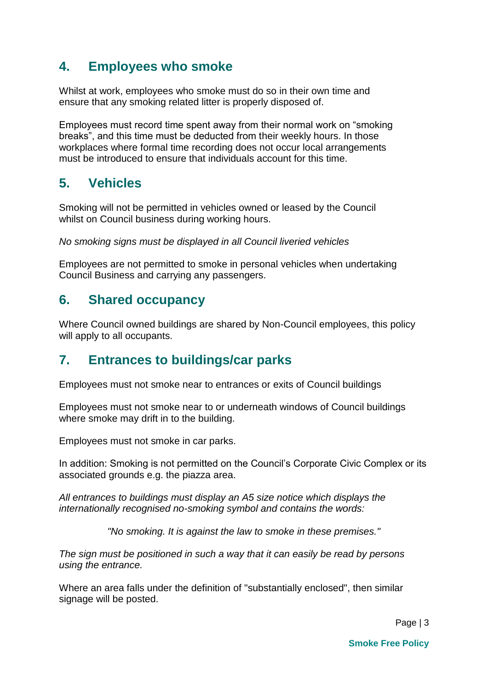#### <span id="page-3-0"></span>**4. Employees who smoke**

Whilst at work, employees who smoke must do so in their own time and ensure that any smoking related litter is properly disposed of.

Employees must record time spent away from their normal work on "smoking breaks", and this time must be deducted from their weekly hours. In those workplaces where formal time recording does not occur local arrangements must be introduced to ensure that individuals account for this time.

#### <span id="page-3-1"></span>**5. Vehicles**

Smoking will not be permitted in vehicles owned or leased by the Council whilst on Council business during working hours.

*No smoking signs must be displayed in all Council liveried vehicles* 

Employees are not permitted to smoke in personal vehicles when undertaking Council Business and carrying any passengers.

#### <span id="page-3-2"></span>**6. Shared occupancy**

Where Council owned buildings are shared by Non-Council employees, this policy will apply to all occupants.

#### <span id="page-3-3"></span>**7. Entrances to buildings/car parks**

Employees must not smoke near to entrances or exits of Council buildings

Employees must not smoke near to or underneath windows of Council buildings where smoke may drift in to the building.

Employees must not smoke in car parks.

In addition: Smoking is not permitted on the Council's Corporate Civic Complex or its associated grounds e.g. the piazza area.

*All entrances to buildings must display an A5 size notice which displays the internationally recognised no-smoking symbol and contains the words:*

*"No smoking. It is against the law to smoke in these premises."*

*The sign must be positioned in such a way that it can easily be read by persons using the entrance.*

Where an area falls under the definition of "substantially enclosed", then similar signage will be posted.

Page | 3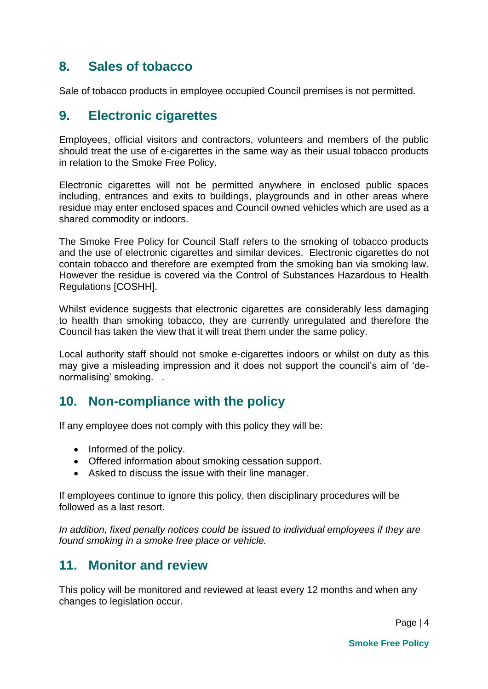#### <span id="page-4-0"></span>**8. Sales of tobacco**

Sale of tobacco products in employee occupied Council premises is not permitted.

#### <span id="page-4-1"></span>**9. Electronic cigarettes**

Employees, official visitors and contractors, volunteers and members of the public should treat the use of e-cigarettes in the same way as their usual tobacco products in relation to the Smoke Free Policy.

Electronic cigarettes will not be permitted anywhere in enclosed public spaces including, entrances and exits to buildings, playgrounds and in other areas where residue may enter enclosed spaces and Council owned vehicles which are used as a shared commodity or indoors.

The Smoke Free Policy for Council Staff refers to the smoking of tobacco products and the use of electronic cigarettes and similar devices. Electronic cigarettes do not contain tobacco and therefore are exempted from the smoking ban via smoking law. However the residue is covered via the Control of Substances Hazardous to Health Regulations [COSHH].

Whilst evidence suggests that electronic cigarettes are considerably less damaging to health than smoking tobacco, they are currently unregulated and therefore the Council has taken the view that it will treat them under the same policy.

Local authority staff should not smoke e-cigarettes indoors or whilst on duty as this may give a misleading impression and it does not support the council's aim of 'denormalising' smoking. .

#### <span id="page-4-2"></span>**10. Non-compliance with the policy**

If any employee does not comply with this policy they will be:

- Informed of the policy.
- Offered information about smoking cessation support.
- Asked to discuss the issue with their line manager.

If employees continue to ignore this policy, then disciplinary procedures will be followed as a last resort.

*In addition, fixed penalty notices could be issued to individual employees if they are found smoking in a smoke free place or vehicle.*

#### <span id="page-4-3"></span>**11. Monitor and review**

This policy will be monitored and reviewed at least every 12 months and when any changes to legislation occur.

Page | 4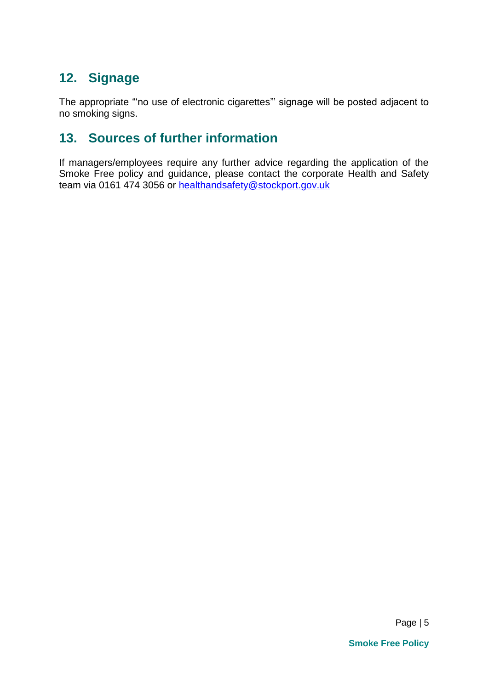# <span id="page-5-0"></span>**12. Signage**

The appropriate "'no use of electronic cigarettes"' signage will be posted adjacent to no smoking signs.

### <span id="page-5-1"></span>**13. Sources of further information**

If managers/employees require any further advice regarding the application of the Smoke Free policy and guidance, please contact the corporate Health and Safety team via 0161 474 3056 or [healthandsafety@stockport.gov.uk](mailto:healthandsafety@stockport.gov.uk)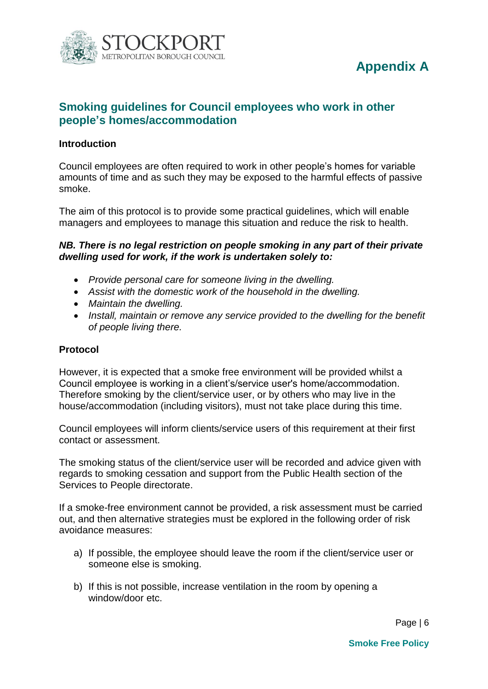<span id="page-6-0"></span>

# **Appendix A**

#### <span id="page-6-1"></span>**Smoking guidelines for Council employees who work in other people's homes/accommodation**

#### **Introduction**

Council employees are often required to work in other people's homes for variable amounts of time and as such they may be exposed to the harmful effects of passive smoke.

The aim of this protocol is to provide some practical guidelines, which will enable managers and employees to manage this situation and reduce the risk to health.

#### *NB. There is no legal restriction on people smoking in any part of their private dwelling used for work, if the work is undertaken solely to:*

- *Provide personal care for someone living in the dwelling.*
- *Assist with the domestic work of the household in the dwelling.*
- *Maintain the dwelling.*
- *Install, maintain or remove any service provided to the dwelling for the benefit of people living there.*

#### **Protocol**

However, it is expected that a smoke free environment will be provided whilst a Council employee is working in a client's/service user's home/accommodation. Therefore smoking by the client/service user, or by others who may live in the house/accommodation (including visitors), must not take place during this time.

Council employees will inform clients/service users of this requirement at their first contact or assessment.

The smoking status of the client/service user will be recorded and advice given with regards to smoking cessation and support from the Public Health section of the Services to People directorate.

If a smoke-free environment cannot be provided, a risk assessment must be carried out, and then alternative strategies must be explored in the following order of risk avoidance measures:

- a) If possible, the employee should leave the room if the client/service user or someone else is smoking.
- b) If this is not possible, increase ventilation in the room by opening a window/door etc.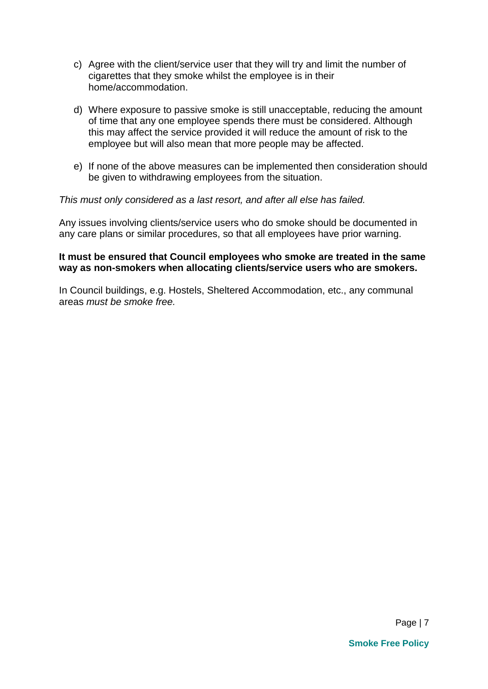- c) Agree with the client/service user that they will try and limit the number of cigarettes that they smoke whilst the employee is in their home/accommodation.
- d) Where exposure to passive smoke is still unacceptable, reducing the amount of time that any one employee spends there must be considered. Although this may affect the service provided it will reduce the amount of risk to the employee but will also mean that more people may be affected.
- e) If none of the above measures can be implemented then consideration should be given to withdrawing employees from the situation.

#### *This must only considered as a last resort, and after all else has failed.*

Any issues involving clients/service users who do smoke should be documented in any care plans or similar procedures, so that all employees have prior warning.

#### **It must be ensured that Council employees who smoke are treated in the same way as non-smokers when allocating clients/service users who are smokers.**

In Council buildings, e.g. Hostels, Sheltered Accommodation, etc., any communal areas *must be smoke free.*